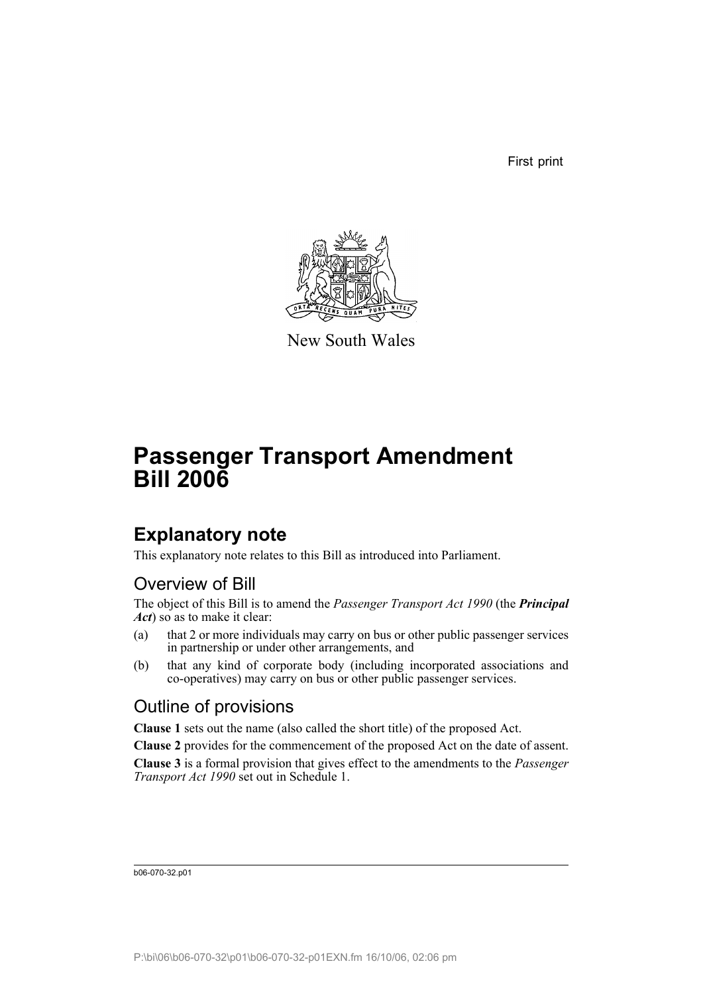First print



New South Wales

# **Passenger Transport Amendment Bill 2006**

## **Explanatory note**

This explanatory note relates to this Bill as introduced into Parliament.

## Overview of Bill

The object of this Bill is to amend the *Passenger Transport Act 1990* (the *Principal Act*) so as to make it clear:

- (a) that 2 or more individuals may carry on bus or other public passenger services in partnership or under other arrangements, and
- (b) that any kind of corporate body (including incorporated associations and co-operatives) may carry on bus or other public passenger services.

## Outline of provisions

**Clause 1** sets out the name (also called the short title) of the proposed Act.

**Clause 2** provides for the commencement of the proposed Act on the date of assent.

**Clause 3** is a formal provision that gives effect to the amendments to the *Passenger Transport Act 1990* set out in Schedule 1.

b06-070-32.p01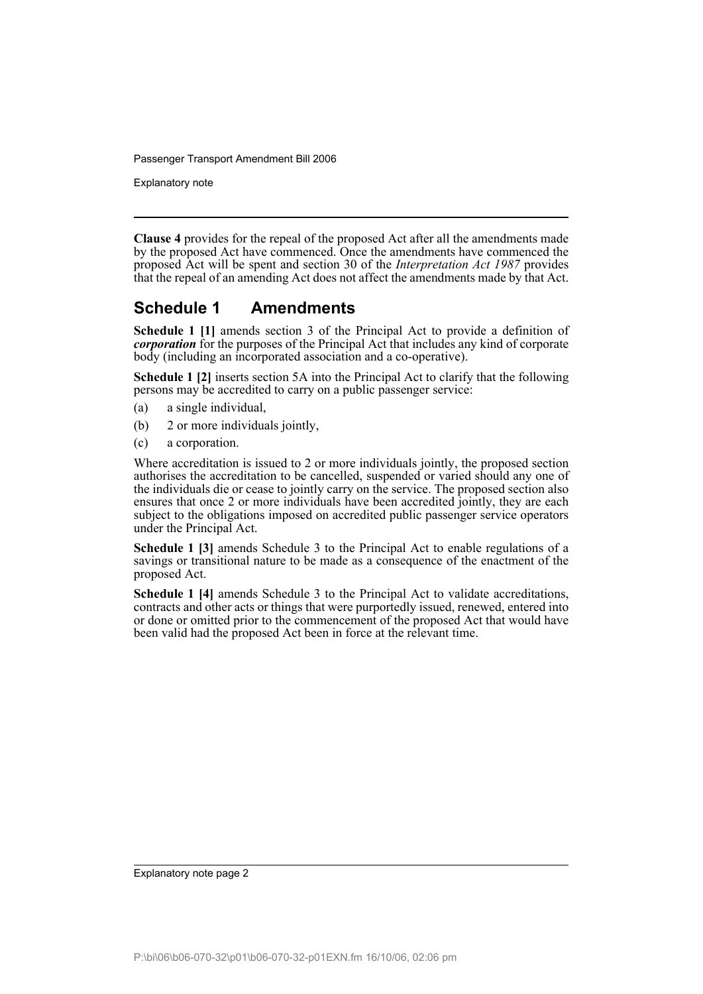Explanatory note

**Clause 4** provides for the repeal of the proposed Act after all the amendments made by the proposed Act have commenced. Once the amendments have commenced the proposed Act will be spent and section 30 of the *Interpretation Act 1987* provides that the repeal of an amending Act does not affect the amendments made by that Act.

## **Schedule 1 Amendments**

**Schedule 1 [1]** amends section 3 of the Principal Act to provide a definition of *corporation* for the purposes of the Principal Act that includes any kind of corporate body (including an incorporated association and a co-operative).

**Schedule 1 [2]** inserts section 5A into the Principal Act to clarify that the following persons may be accredited to carry on a public passenger service:

- (a) a single individual,
- (b) 2 or more individuals jointly,
- (c) a corporation.

Where accreditation is issued to 2 or more individuals jointly, the proposed section authorises the accreditation to be cancelled, suspended or varied should any one of the individuals die or cease to jointly carry on the service. The proposed section also ensures that once 2 or more individuals have been accredited jointly, they are each subject to the obligations imposed on accredited public passenger service operators under the Principal Act.

**Schedule 1 [3]** amends Schedule 3 to the Principal Act to enable regulations of a savings or transitional nature to be made as a consequence of the enactment of the proposed Act.

**Schedule 1 [4]** amends Schedule 3 to the Principal Act to validate accreditations, contracts and other acts or things that were purportedly issued, renewed, entered into or done or omitted prior to the commencement of the proposed Act that would have been valid had the proposed Act been in force at the relevant time.

Explanatory note page 2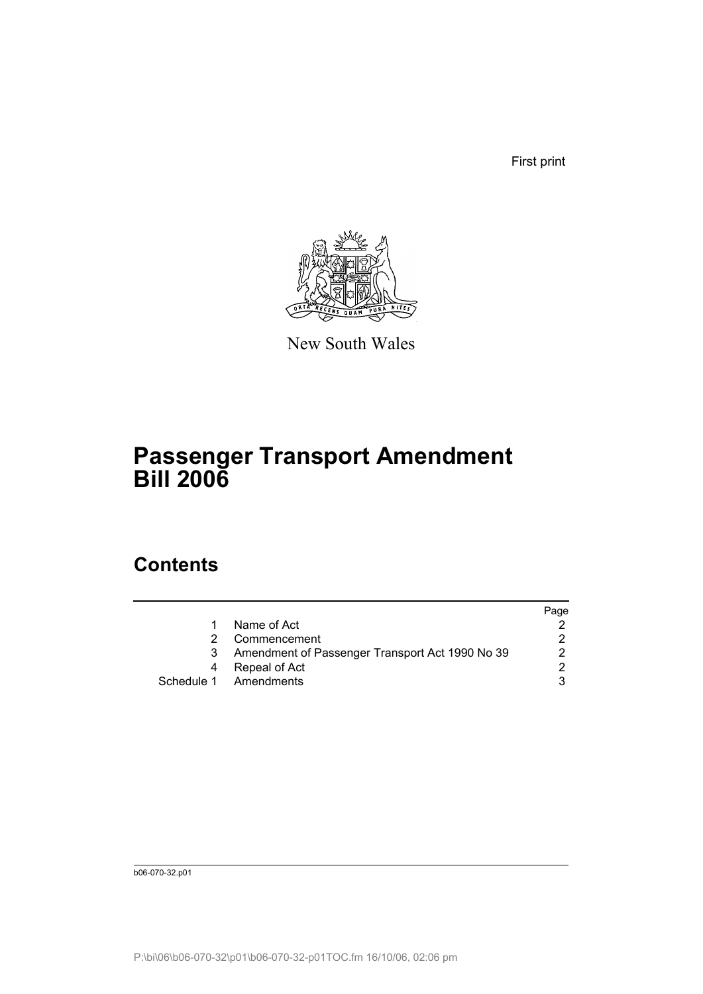First print



New South Wales

# **Passenger Transport Amendment Bill 2006**

## **Contents**

|                                                 | Page          |
|-------------------------------------------------|---------------|
| Name of Act                                     |               |
| Commencement                                    | 2             |
| Amendment of Passenger Transport Act 1990 No 39 | $\mathcal{D}$ |
| Repeal of Act                                   | 2             |
| Schedule 1 Amendments                           |               |
|                                                 |               |

b06-070-32.p01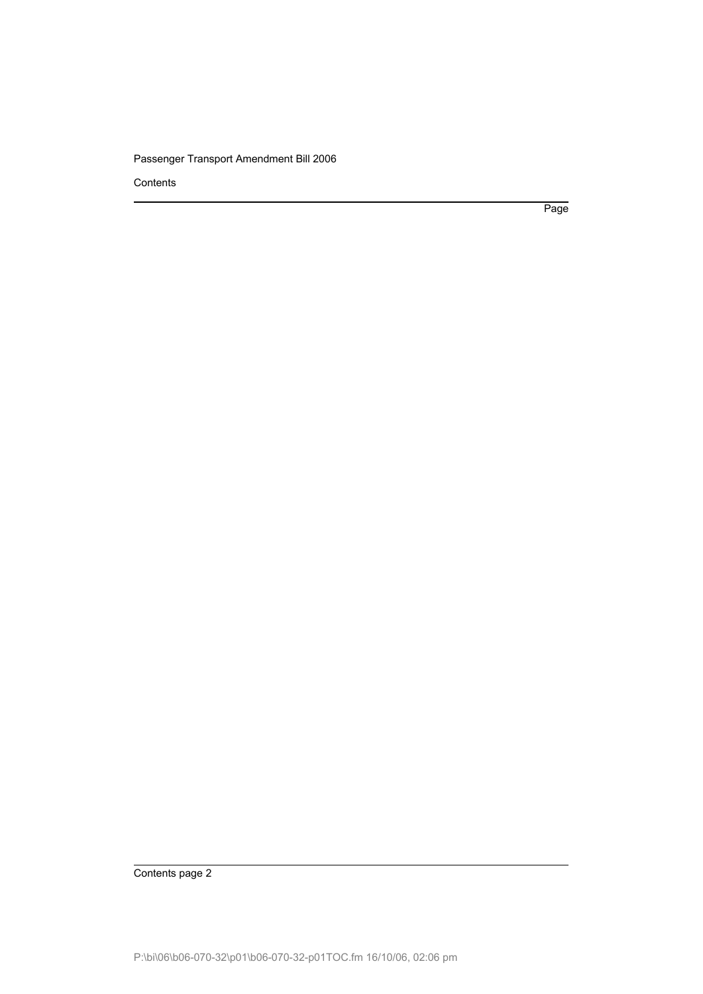Contents

Page

Contents page 2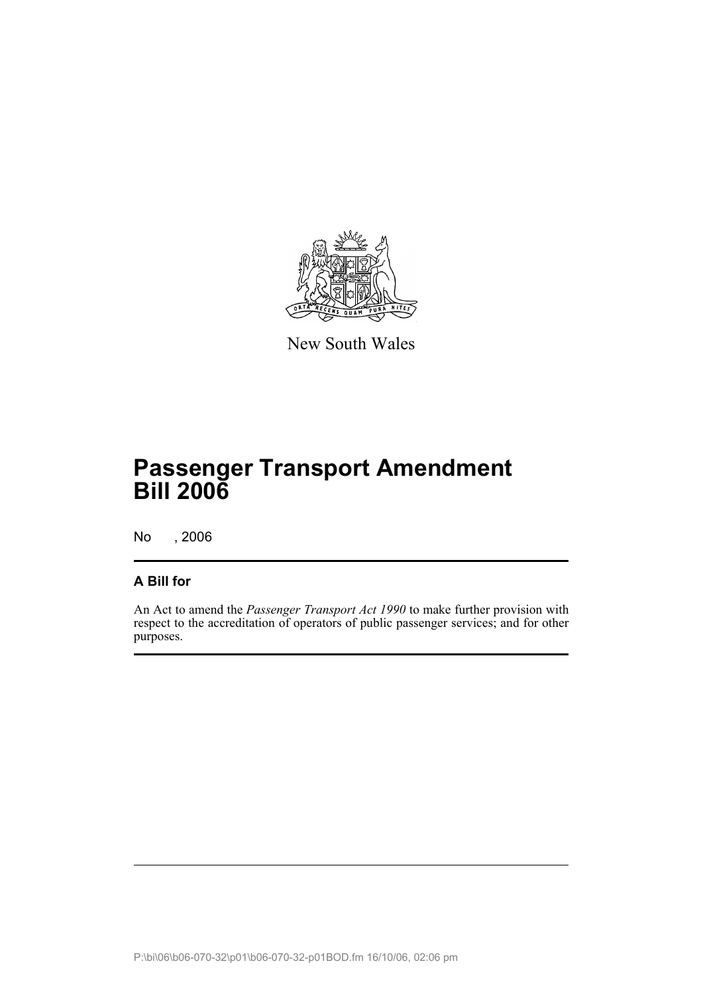

New South Wales

# **Passenger Transport Amendment Bill 2006**

No , 2006

### **A Bill for**

An Act to amend the *Passenger Transport Act 1990* to make further provision with respect to the accreditation of operators of public passenger services; and for other purposes.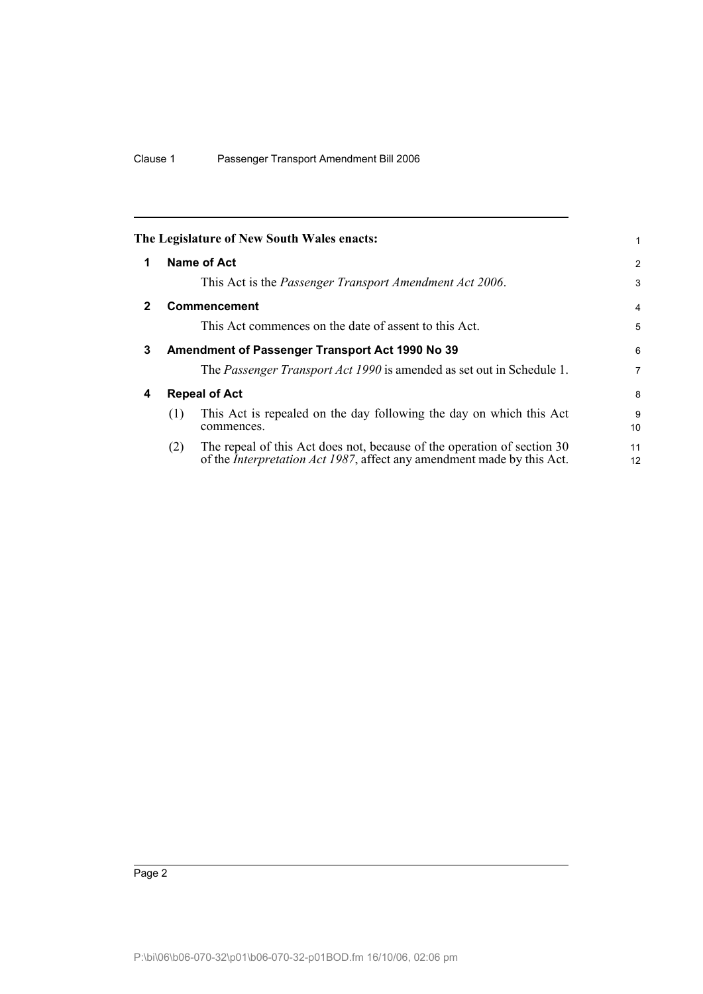<span id="page-5-3"></span><span id="page-5-2"></span><span id="page-5-1"></span><span id="page-5-0"></span>

|   |                                                 | The Legislature of New South Wales enacts:                                                                                                                | 1              |
|---|-------------------------------------------------|-----------------------------------------------------------------------------------------------------------------------------------------------------------|----------------|
| 1 |                                                 | <b>Name of Act</b>                                                                                                                                        | $\overline{2}$ |
|   |                                                 | This Act is the Passenger Transport Amendment Act 2006.                                                                                                   | 3              |
| 2 | <b>Commencement</b>                             |                                                                                                                                                           |                |
|   |                                                 | This Act commences on the date of assent to this Act.                                                                                                     | 5              |
| 3 | Amendment of Passenger Transport Act 1990 No 39 |                                                                                                                                                           |                |
|   |                                                 | The Passenger Transport Act 1990 is amended as set out in Schedule 1.                                                                                     | 7              |
| 4 |                                                 | <b>Repeal of Act</b>                                                                                                                                      | 8              |
|   | (1)                                             | This Act is repealed on the day following the day on which this Act<br>commences.                                                                         | 9<br>10        |
|   | (2)                                             | The repeal of this Act does not, because of the operation of section 30<br>of the <i>Interpretation Act 1987</i> , affect any amendment made by this Act. | 11<br>12       |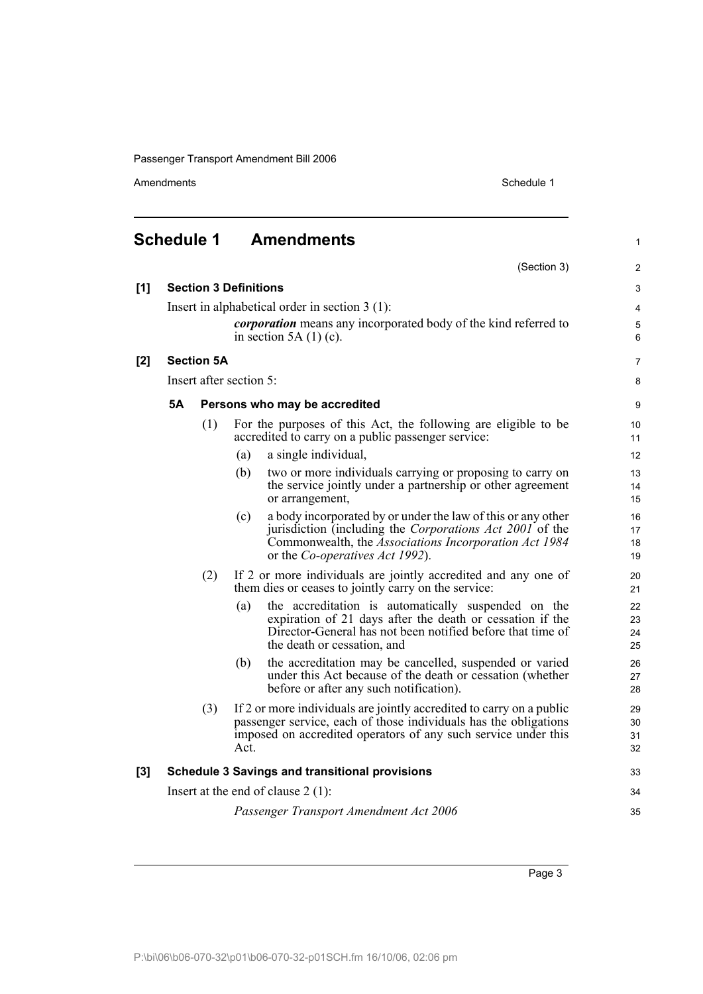Amendments Schedule 1

<span id="page-6-0"></span>

| <b>Schedule 1</b> |                                                                                                                                                        |     | <b>Amendments</b> | $\mathbf{1}$                                                                                                                                                                                                                 |                      |
|-------------------|--------------------------------------------------------------------------------------------------------------------------------------------------------|-----|-------------------|------------------------------------------------------------------------------------------------------------------------------------------------------------------------------------------------------------------------------|----------------------|
|                   |                                                                                                                                                        |     |                   | (Section 3)                                                                                                                                                                                                                  | $\overline{2}$       |
| [1]               | <b>Section 3 Definitions</b>                                                                                                                           |     |                   |                                                                                                                                                                                                                              | 3                    |
|                   | Insert in alphabetical order in section $3(1)$ :<br><i>corporation</i> means any incorporated body of the kind referred to<br>in section 5A $(1)$ (c). |     |                   | $\overline{4}$<br>5<br>6                                                                                                                                                                                                     |                      |
| $[2]$             | <b>Section 5A</b>                                                                                                                                      |     |                   |                                                                                                                                                                                                                              |                      |
|                   | Insert after section 5:                                                                                                                                |     |                   |                                                                                                                                                                                                                              |                      |
|                   | 5A                                                                                                                                                     |     |                   | Persons who may be accredited                                                                                                                                                                                                | 9                    |
|                   |                                                                                                                                                        | (1) |                   | For the purposes of this Act, the following are eligible to be<br>accredited to carry on a public passenger service:                                                                                                         | 10<br>11             |
|                   |                                                                                                                                                        |     | (a)               | a single individual,                                                                                                                                                                                                         | 12                   |
|                   |                                                                                                                                                        |     | (b)               | two or more individuals carrying or proposing to carry on<br>the service jointly under a partnership or other agreement<br>or arrangement,                                                                                   | 13<br>14<br>15       |
|                   |                                                                                                                                                        |     | (c)               | a body incorporated by or under the law of this or any other<br>jurisdiction (including the Corporations Act 2001 of the<br>Commonwealth, the Associations Incorporation Act 1984<br>or the <i>Co-operatives Act 1992</i> ). | 16<br>17<br>18<br>19 |
|                   |                                                                                                                                                        | (2) |                   | If 2 or more individuals are jointly accredited and any one of<br>them dies or ceases to jointly carry on the service:                                                                                                       | 20<br>21             |
|                   |                                                                                                                                                        |     | (a)               | the accreditation is automatically suspended on the<br>expiration of 21 days after the death or cessation if the<br>Director-General has not been notified before that time of<br>the death or cessation, and                | 22<br>23<br>24<br>25 |
|                   |                                                                                                                                                        |     | (b)               | the accreditation may be cancelled, suspended or varied<br>under this Act because of the death or cessation (whether<br>before or after any such notification).                                                              | 26<br>27<br>28       |
|                   | (3)                                                                                                                                                    |     | Act.              | If 2 or more individuals are jointly accredited to carry on a public<br>passenger service, each of those individuals has the obligations<br>imposed on accredited operators of any such service under this                   | 29<br>30<br>31<br>32 |
| [3]               | <b>Schedule 3 Savings and transitional provisions</b>                                                                                                  |     |                   |                                                                                                                                                                                                                              | 33                   |
|                   | Insert at the end of clause $2(1)$ :                                                                                                                   |     |                   |                                                                                                                                                                                                                              | 34                   |
|                   |                                                                                                                                                        |     |                   | Passenger Transport Amendment Act 2006                                                                                                                                                                                       | 35                   |

Page 3